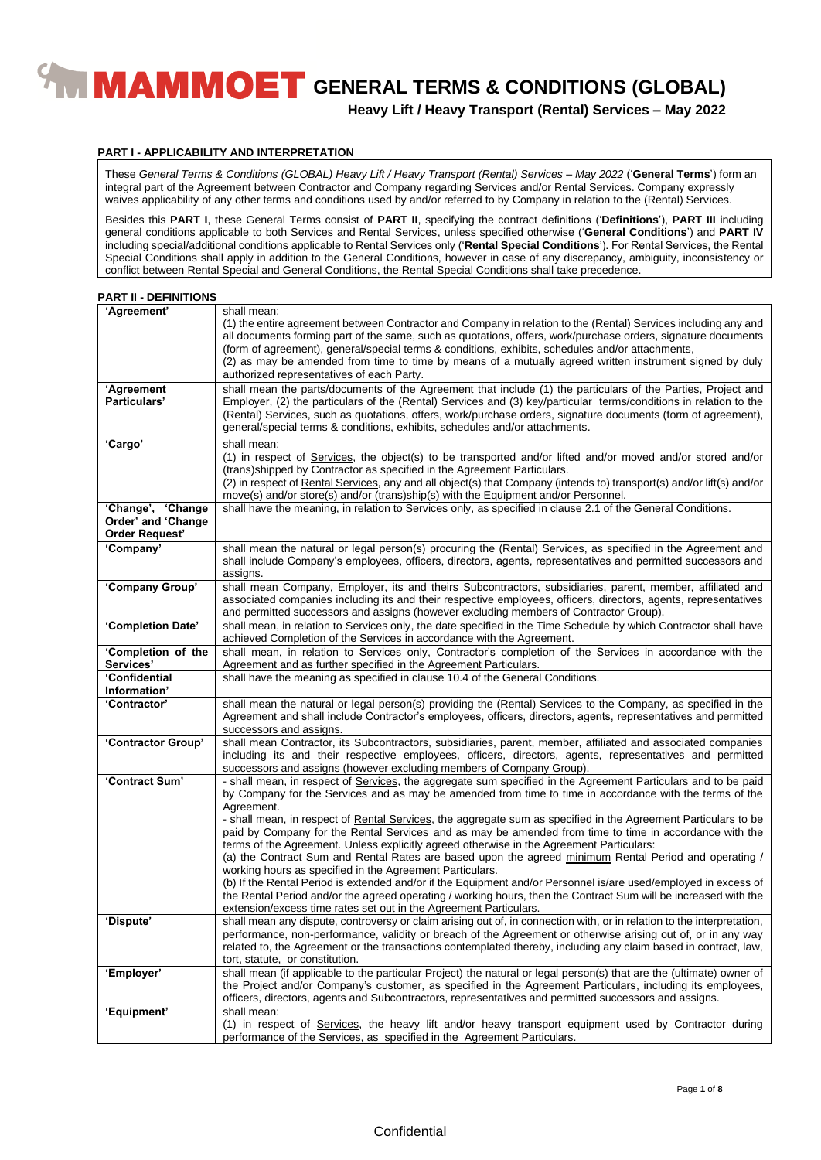**Heavy Lift / Heavy Transport (Rental) Services – May 2022**

#### **PART I - APPLICABILITY AND INTERPRETATION**

These *General Terms & Conditions (GLOBAL) Heavy Lift / Heavy Transport (Rental) Services – May 2022* ('**General Terms**') form an integral part of the Agreement between Contractor and Company regarding Services and/or Rental Services. Company expressly waives applicability of any other terms and conditions used by and/or referred to by Company in relation to the (Rental) Services.

Besides this **PART I**, these General Terms consist of **PART II**, specifying the contract definitions ('**Definitions**'), **PART III** including general conditions applicable to both Services and Rental Services, unless specified otherwise ('**General Conditions**') and **PART IV** including special/additional conditions applicable to Rental Services only ('**Rental Special Conditions**'). For Rental Services, the Rental Special Conditions shall apply in addition to the General Conditions, however in case of any discrepancy, ambiguity, inconsistency or conflict between Rental Special and General Conditions, the Rental Special Conditions shall take precedence.

#### **PART II - DEFINITIONS**

| 'Agreement'                                                      | shall mean:<br>(1) the entire agreement between Contractor and Company in relation to the (Rental) Services including any and<br>all documents forming part of the same, such as quotations, offers, work/purchase orders, signature documents<br>(form of agreement), general/special terms & conditions, exhibits, schedules and/or attachments,<br>(2) as may be amended from time to time by means of a mutually agreed written instrument signed by duly<br>authorized representatives of each Party.                                                     |
|------------------------------------------------------------------|----------------------------------------------------------------------------------------------------------------------------------------------------------------------------------------------------------------------------------------------------------------------------------------------------------------------------------------------------------------------------------------------------------------------------------------------------------------------------------------------------------------------------------------------------------------|
| 'Agreement<br>Particulars'                                       | shall mean the parts/documents of the Agreement that include (1) the particulars of the Parties, Project and<br>Employer, (2) the particulars of the (Rental) Services and (3) key/particular terms/conditions in relation to the<br>(Rental) Services, such as quotations, offers, work/purchase orders, signature documents (form of agreement),<br>general/special terms & conditions, exhibits, schedules and/or attachments.                                                                                                                              |
| 'Cargo'                                                          | shall mean:<br>(1) in respect of Services, the object(s) to be transported and/or lifted and/or moved and/or stored and/or<br>(trans) shipped by Contractor as specified in the Agreement Particulars.<br>(2) in respect of Rental Services, any and all object(s) that Company (intends to) transport(s) and/or lift(s) and/or<br>move(s) and/or store(s) and/or (trans)ship(s) with the Equipment and/or Personnel.                                                                                                                                          |
| 'Change', 'Change<br>Order' and 'Change<br><b>Order Request'</b> | shall have the meaning, in relation to Services only, as specified in clause 2.1 of the General Conditions.                                                                                                                                                                                                                                                                                                                                                                                                                                                    |
| 'Company'                                                        | shall mean the natural or legal person(s) procuring the (Rental) Services, as specified in the Agreement and<br>shall include Company's employees, officers, directors, agents, representatives and permitted successors and<br>assigns.                                                                                                                                                                                                                                                                                                                       |
| 'Company Group'                                                  | shall mean Company, Employer, its and theirs Subcontractors, subsidiaries, parent, member, affiliated and<br>associated companies including its and their respective employees, officers, directors, agents, representatives<br>and permitted successors and assigns (however excluding members of Contractor Group).                                                                                                                                                                                                                                          |
| 'Completion Date'                                                | shall mean, in relation to Services only, the date specified in the Time Schedule by which Contractor shall have<br>achieved Completion of the Services in accordance with the Agreement.                                                                                                                                                                                                                                                                                                                                                                      |
| 'Completion of the<br>Services'                                  | shall mean, in relation to Services only, Contractor's completion of the Services in accordance with the<br>Agreement and as further specified in the Agreement Particulars.                                                                                                                                                                                                                                                                                                                                                                                   |
| 'Confidential<br>Information'                                    | shall have the meaning as specified in clause 10.4 of the General Conditions.                                                                                                                                                                                                                                                                                                                                                                                                                                                                                  |
| 'Contractor'                                                     | shall mean the natural or legal person(s) providing the (Rental) Services to the Company, as specified in the<br>Agreement and shall include Contractor's employees, officers, directors, agents, representatives and permitted<br>successors and assigns.                                                                                                                                                                                                                                                                                                     |
| 'Contractor Group'                                               | shall mean Contractor, its Subcontractors, subsidiaries, parent, member, affiliated and associated companies<br>including its and their respective employees, officers, directors, agents, representatives and permitted<br>successors and assigns (however excluding members of Company Group).                                                                                                                                                                                                                                                               |
| 'Contract Sum'                                                   | - shall mean, in respect of Services, the aggregate sum specified in the Agreement Particulars and to be paid<br>by Company for the Services and as may be amended from time to time in accordance with the terms of the<br>Agreement.<br>- shall mean, in respect of Rental Services, the aggregate sum as specified in the Agreement Particulars to be<br>paid by Company for the Rental Services and as may be amended from time to time in accordance with the<br>terms of the Agreement. Unless explicitly agreed otherwise in the Agreement Particulars: |
|                                                                  | (a) the Contract Sum and Rental Rates are based upon the agreed minimum Rental Period and operating /<br>working hours as specified in the Agreement Particulars.<br>(b) If the Rental Period is extended and/or if the Equipment and/or Personnel is/are used/employed in excess of<br>the Rental Period and/or the agreed operating / working hours, then the Contract Sum will be increased with the<br>extension/excess time rates set out in the Agreement Particulars.                                                                                   |
| 'Dispute'                                                        | shall mean any dispute, controversy or claim arising out of, in connection with, or in relation to the interpretation,<br>performance, non-performance, validity or breach of the Agreement or otherwise arising out of, or in any way<br>related to, the Agreement or the transactions contemplated thereby, including any claim based in contract, law,<br>tort, statute, or constitution.                                                                                                                                                                   |
| 'Employer'                                                       | shall mean (if applicable to the particular Project) the natural or legal person(s) that are the (ultimate) owner of<br>the Project and/or Company's customer, as specified in the Agreement Particulars, including its employees,<br>officers, directors, agents and Subcontractors, representatives and permitted successors and assigns.                                                                                                                                                                                                                    |
| 'Equipment'                                                      | shall mean:<br>(1) in respect of Services, the heavy lift and/or heavy transport equipment used by Contractor during<br>performance of the Services, as specified in the Agreement Particulars.                                                                                                                                                                                                                                                                                                                                                                |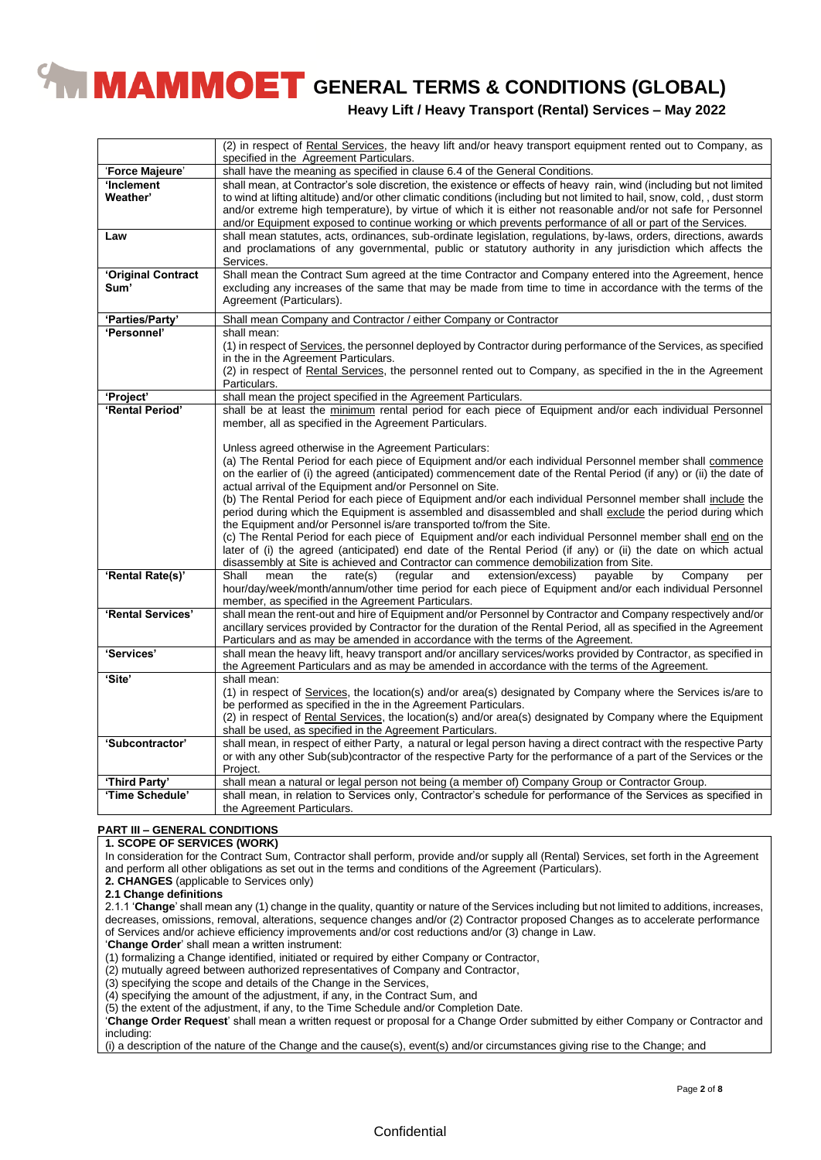**Heavy Lift / Heavy Transport (Rental) Services – May 2022**

|                    | (2) in respect of Rental Services, the heavy lift and/or heavy transport equipment rented out to Company, as<br>specified in the Agreement Particulars. |
|--------------------|---------------------------------------------------------------------------------------------------------------------------------------------------------|
| 'Force Majeure'    | shall have the meaning as specified in clause 6.4 of the General Conditions.                                                                            |
| 'Inclement         | shall mean, at Contractor's sole discretion, the existence or effects of heavy rain, wind (including but not limited                                    |
| Weather'           | to wind at lifting altitude) and/or other climatic conditions (including but not limited to hail, snow, cold,, dust storm                               |
|                    | and/or extreme high temperature), by virtue of which it is either not reasonable and/or not safe for Personnel                                          |
|                    | and/or Equipment exposed to continue working or which prevents performance of all or part of the Services.                                              |
| Law                | shall mean statutes, acts, ordinances, sub-ordinate legislation, regulations, by-laws, orders, directions, awards                                       |
|                    | and proclamations of any governmental, public or statutory authority in any jurisdiction which affects the                                              |
|                    | Services.                                                                                                                                               |
| 'Original Contract | Shall mean the Contract Sum agreed at the time Contractor and Company entered into the Agreement, hence                                                 |
| Sum'               | excluding any increases of the same that may be made from time to time in accordance with the terms of the                                              |
|                    | Agreement (Particulars).                                                                                                                                |
|                    |                                                                                                                                                         |
| 'Parties/Party'    | Shall mean Company and Contractor / either Company or Contractor                                                                                        |
| 'Personnel'        | shall mean:                                                                                                                                             |
|                    | (1) in respect of Services, the personnel deployed by Contractor during performance of the Services, as specified                                       |
|                    | in the in the Agreement Particulars.                                                                                                                    |
|                    | (2) in respect of Rental Services, the personnel rented out to Company, as specified in the in the Agreement                                            |
|                    | Particulars.                                                                                                                                            |
| 'Project'          | shall mean the project specified in the Agreement Particulars.                                                                                          |
| 'Rental Period'    | shall be at least the minimum rental period for each piece of Equipment and/or each individual Personnel                                                |
|                    | member, all as specified in the Agreement Particulars.                                                                                                  |
|                    |                                                                                                                                                         |
|                    | Unless agreed otherwise in the Agreement Particulars:                                                                                                   |
|                    | (a) The Rental Period for each piece of Equipment and/or each individual Personnel member shall commence                                                |
|                    | on the earlier of (i) the agreed (anticipated) commencement date of the Rental Period (if any) or (ii) the date of                                      |
|                    | actual arrival of the Equipment and/or Personnel on Site.                                                                                               |
|                    | (b) The Rental Period for each piece of Equipment and/or each individual Personnel member shall include the                                             |
|                    | period during which the Equipment is assembled and disassembled and shall exclude the period during which                                               |
|                    | the Equipment and/or Personnel is/are transported to/from the Site.                                                                                     |
|                    | (c) The Rental Period for each piece of Equipment and/or each individual Personnel member shall end on the                                              |
|                    | later of (i) the agreed (anticipated) end date of the Rental Period (if any) or (ii) the date on which actual                                           |
|                    | disassembly at Site is achieved and Contractor can commence demobilization from Site.                                                                   |
| 'Rental Rate(s)'   | Shall<br>mean<br>(regular<br>extension/excess)<br>by<br>Company<br>the<br>rate(s)<br>and<br>payable<br>per                                              |
|                    | hour/day/week/month/annum/other time period for each piece of Equipment and/or each individual Personnel                                                |
|                    | member, as specified in the Agreement Particulars.                                                                                                      |
| 'Rental Services'  | shall mean the rent-out and hire of Equipment and/or Personnel by Contractor and Company respectively and/or                                            |
|                    | ancillary services provided by Contractor for the duration of the Rental Period, all as specified in the Agreement                                      |
|                    | Particulars and as may be amended in accordance with the terms of the Agreement.                                                                        |
| 'Services'         | shall mean the heavy lift, heavy transport and/or ancillary services/works provided by Contractor, as specified in                                      |
|                    | the Agreement Particulars and as may be amended in accordance with the terms of the Agreement.                                                          |
| 'Site'             | shall mean:                                                                                                                                             |
|                    | (1) in respect of Services, the location(s) and/or area(s) designated by Company where the Services is/are to                                           |
|                    | be performed as specified in the in the Agreement Particulars.                                                                                          |
|                    | (2) in respect of Rental Services, the location(s) and/or area(s) designated by Company where the Equipment                                             |
|                    | shall be used, as specified in the Agreement Particulars.                                                                                               |
| 'Subcontractor'    | shall mean, in respect of either Party, a natural or legal person having a direct contract with the respective Party                                    |
|                    | or with any other Sub(sub)contractor of the respective Party for the performance of a part of the Services or the                                       |
|                    | Project.                                                                                                                                                |
| 'Third Party'      | shall mean a natural or legal person not being (a member of) Company Group or Contractor Group.                                                         |
| 'Time Schedule'    | shall mean, in relation to Services only, Contractor's schedule for performance of the Services as specified in                                         |
|                    | the Agreement Particulars.                                                                                                                              |

## **PART III – GENERAL CONDITIONS**

# **1. SCOPE OF SERVICES (WORK)**

In consideration for the Contract Sum, Contractor shall perform, provide and/or supply all (Rental) Services, set forth in the Agreement and perform all other obligations as set out in the terms and conditions of the Agreement (Particulars).

**2. CHANGES** (applicable to Services only)

**2.1 Change definitions**

2.1.1 '**Change**' shall mean any (1) change in the quality, quantity or nature of the Services including but not limited to additions, increases, decreases, omissions, removal, alterations, sequence changes and/or (2) Contractor proposed Changes as to accelerate performance of Services and/or achieve efficiency improvements and/or cost reductions and/or (3) change in Law.

'**Change Order**' shall mean a written instrument:

(1) formalizing a Change identified, initiated or required by either Company or Contractor,

(2) mutually agreed between authorized representatives of Company and Contractor,

(3) specifying the scope and details of the Change in the Services,

(4) specifying the amount of the adjustment, if any, in the Contract Sum, and

(5) the extent of the adjustment, if any, to the Time Schedule and/or Completion Date.

'**Change Order Request**' shall mean a written request or proposal for a Change Order submitted by either Company or Contractor and including:

(i) a description of the nature of the Change and the cause(s), event(s) and/or circumstances giving rise to the Change; and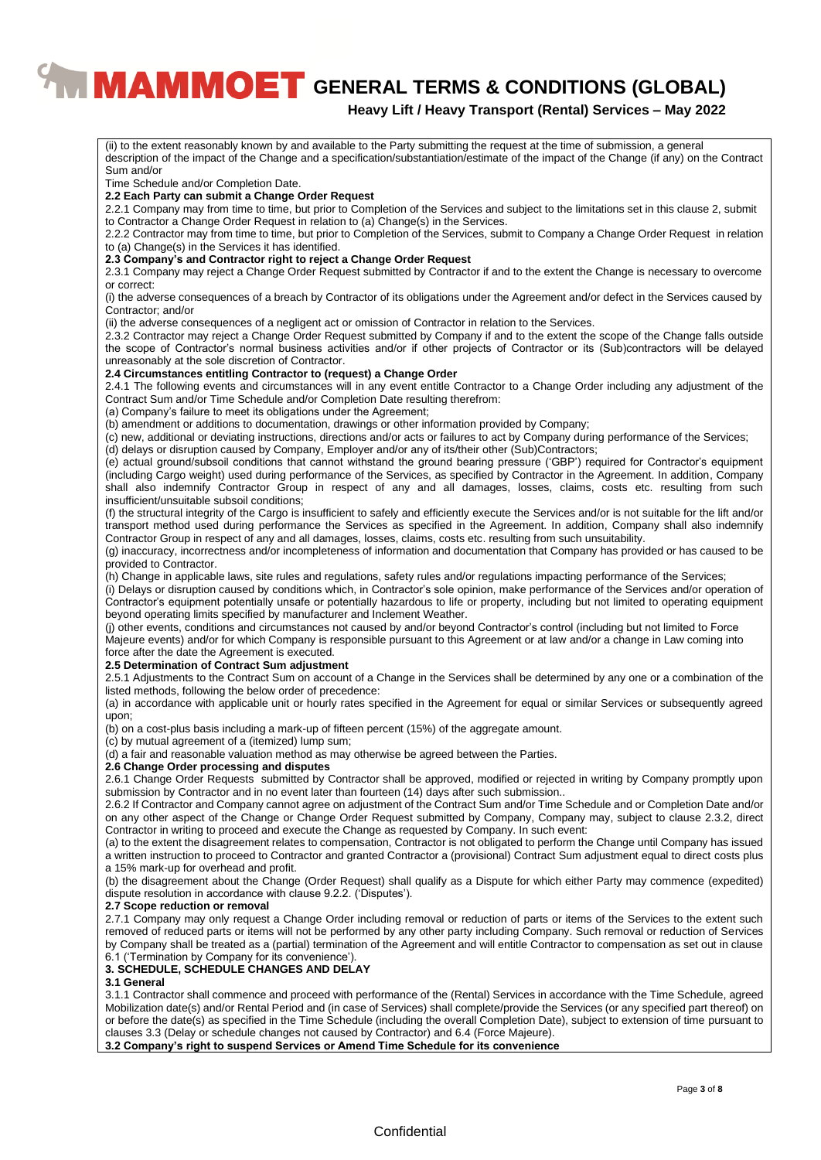# **Heavy Lift / Heavy Transport (Rental) Services – May 2022**

(ii) to the extent reasonably known by and available to the Party submitting the request at the time of submission, a general description of the impact of the Change and a specification/substantiation/estimate of the impact of the Change (if any) on the Contract Sum and/or Time Schedule and/or Completion Date. **2.2 Each Party can submit a Change Order Request** 2.2.1 Company may from time to time, but prior to Completion of the Services and subject to the limitations set in this clause 2, submit to Contractor a Change Order Request in relation to (a) Change(s) in the Services. 2.2.2 Contractor may from time to time, but prior to Completion of the Services, submit to Company a Change Order Request in relation to (a) Change(s) in the Services it has identified. **2.3 Company's and Contractor right to reject a Change Order Request** 2.3.1 Company may reject a Change Order Request submitted by Contractor if and to the extent the Change is necessary to overcome or correct: (i) the adverse consequences of a breach by Contractor of its obligations under the Agreement and/or defect in the Services caused by Contractor; and/or (ii) the adverse consequences of a negligent act or omission of Contractor in relation to the Services. 2.3.2 Contractor may reject a Change Order Request submitted by Company if and to the extent the scope of the Change falls outside the scope of Contractor's normal business activities and/or if other projects of Contractor or its (Sub)contractors will be delayed unreasonably at the sole discretion of Contractor. **2.4 Circumstances entitling Contractor to (request) a Change Order** 2.4.1 The following events and circumstances will in any event entitle Contractor to a Change Order including any adjustment of the Contract Sum and/or Time Schedule and/or Completion Date resulting therefrom: (a) Company's failure to meet its obligations under the Agreement; (b) amendment or additions to documentation, drawings or other information provided by Company; (c) new, additional or deviating instructions, directions and/or acts or failures to act by Company during performance of the Services; (d) delays or disruption caused by Company, Employer and/or any of its/their other (Sub)Contractors; (e) actual ground/subsoil conditions that cannot withstand the ground bearing pressure ('GBP') required for Contractor's equipment (including Cargo weight) used during performance of the Services, as specified by Contractor in the Agreement. In addition, Company shall also indemnify Contractor Group in respect of any and all damages, losses, claims, costs etc. resulting from such insufficient/unsuitable subsoil conditions; (f) the structural integrity of the Cargo is insufficient to safely and efficiently execute the Services and/or is not suitable for the lift and/or transport method used during performance the Services as specified in the Agreement. In addition, Company shall also indemnify Contractor Group in respect of any and all damages, losses, claims, costs etc. resulting from such unsuitability. (g) inaccuracy, incorrectness and/or incompleteness of information and documentation that Company has provided or has caused to be provided to Contractor. (h) Change in applicable laws, site rules and regulations, safety rules and/or regulations impacting performance of the Services; (i) Delays or disruption caused by conditions which, in Contractor's sole opinion, make performance of the Services and/or operation of Contractor's equipment potentially unsafe or potentially hazardous to life or property, including but not limited to operating equipment beyond operating limits specified by manufacturer and Inclement Weather. (j) other events, conditions and circumstances not caused by and/or beyond Contractor's control (including but not limited to Force Majeure events) and/or for which Company is responsible pursuant to this Agreement or at law and/or a change in Law coming into force after the date the Agreement is executed. **2.5 Determination of Contract Sum adjustment** 2.5.1 Adjustments to the Contract Sum on account of a Change in the Services shall be determined by any one or a combination of the listed methods, following the below order of precedence: (a) in accordance with applicable unit or hourly rates specified in the Agreement for equal or similar Services or subsequently agreed upon; (b) on a cost-plus basis including a mark-up of fifteen percent (15%) of the aggregate amount. (c) by mutual agreement of a (itemized) lump sum; (d) a fair and reasonable valuation method as may otherwise be agreed between the Parties. **2.6 Change Order processing and disputes** 2.6.1 Change Order Requests submitted by Contractor shall be approved, modified or rejected in writing by Company promptly upon submission by Contractor and in no event later than fourteen (14) days after such submission.. 2.6.2 If Contractor and Company cannot agree on adjustment of the Contract Sum and/or Time Schedule and or Completion Date and/or on any other aspect of the Change or Change Order Request submitted by Company, Company may, subject to clause 2.3.2, direct Contractor in writing to proceed and execute the Change as requested by Company. In such event: (a) to the extent the disagreement relates to compensation, Contractor is not obligated to perform the Change until Company has issued a written instruction to proceed to Contractor and granted Contractor a (provisional) Contract Sum adjustment equal to direct costs plus a 15% mark-up for overhead and profit. (b) the disagreement about the Change (Order Request) shall qualify as a Dispute for which either Party may commence (expedited) dispute resolution in accordance with clause 9.2.2. ('Disputes'). **2.7 Scope reduction or removal** 2.7.1 Company may only request a Change Order including removal or reduction of parts or items of the Services to the extent such removed of reduced parts or items will not be performed by any other party including Company. Such removal or reduction of Services by Company shall be treated as a (partial) termination of the Agreement and will entitle Contractor to compensation as set out in clause 6.1 ('Termination by Company for its convenience'). **3. SCHEDULE, SCHEDULE CHANGES AND DELAY 3.1 General** 3.1.1 Contractor shall commence and proceed with performance of the (Rental) Services in accordance with the Time Schedule, agreed Mobilization date(s) and/or Rental Period and (in case of Services) shall complete/provide the Services (or any specified part thereof) on or before the date(s) as specified in the Time Schedule (including the overall Completion Date), subject to extension of time pursuant to clauses 3.3 (Delay or schedule changes not caused by Contractor) and 6.4 (Force Majeure). **3.2 Company's right to suspend Services or Amend Time Schedule for its convenience**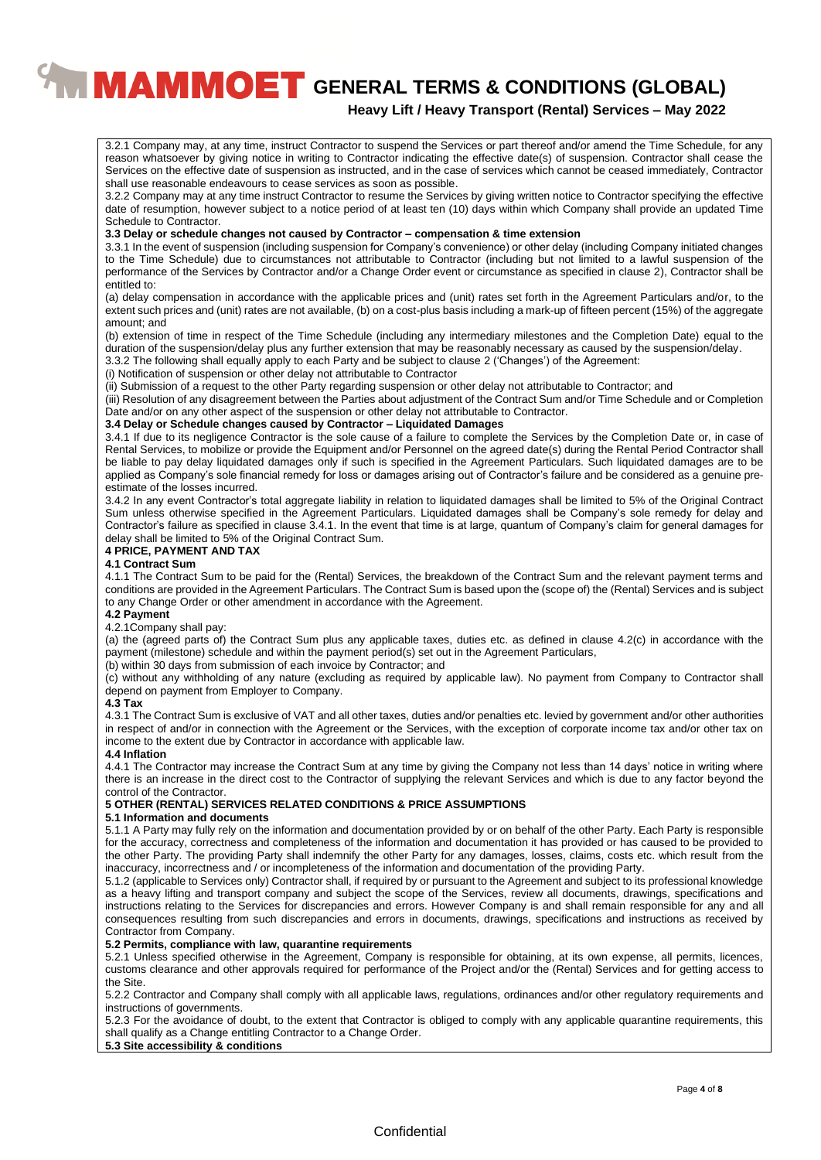# **Heavy Lift / Heavy Transport (Rental) Services – May 2022**

3.2.1 Company may, at any time, instruct Contractor to suspend the Services or part thereof and/or amend the Time Schedule, for any reason whatsoever by giving notice in writing to Contractor indicating the effective date(s) of suspension. Contractor shall cease the Services on the effective date of suspension as instructed, and in the case of services which cannot be ceased immediately, Contractor shall use reasonable endeavours to cease services as soon as possible.

3.2.2 Company may at any time instruct Contractor to resume the Services by giving written notice to Contractor specifying the effective date of resumption, however subject to a notice period of at least ten (10) days within which Company shall provide an updated Time Schedule to Contractor.

#### **3.3 Delay or schedule changes not caused by Contractor – compensation & time extension**

3.3.1 In the event of suspension (including suspension for Company's convenience) or other delay (including Company initiated changes to the Time Schedule) due to circumstances not attributable to Contractor (including but not limited to a lawful suspension of the performance of the Services by Contractor and/or a Change Order event or circumstance as specified in clause 2), Contractor shall be entitled to:

(a) delay compensation in accordance with the applicable prices and (unit) rates set forth in the Agreement Particulars and/or, to the extent such prices and (unit) rates are not available, (b) on a cost-plus basis including a mark-up of fifteen percent (15%) of the aggregate amount; and

(b) extension of time in respect of the Time Schedule (including any intermediary milestones and the Completion Date) equal to the duration of the suspension/delay plus any further extension that may be reasonably necessary as caused by the suspension/delay.

3.3.2 The following shall equally apply to each Party and be subject to clause 2 ('Changes') of the Agreement:

(i) Notification of suspension or other delay not attributable to Contractor

(ii) Submission of a request to the other Party regarding suspension or other delay not attributable to Contractor; and

(iii) Resolution of any disagreement between the Parties about adjustment of the Contract Sum and/or Time Schedule and or Completion Date and/or on any other aspect of the suspension or other delay not attributable to Contractor.

#### **3.4 Delay or Schedule changes caused by Contractor – Liquidated Damages**

3.4.1 If due to its negligence Contractor is the sole cause of a failure to complete the Services by the Completion Date or, in case of Rental Services, to mobilize or provide the Equipment and/or Personnel on the agreed date(s) during the Rental Period Contractor shall be liable to pay delay liquidated damages only if such is specified in the Agreement Particulars. Such liquidated damages are to be applied as Company's sole financial remedy for loss or damages arising out of Contractor's failure and be considered as a genuine preestimate of the losses incurred.

3.4.2 In any event Contractor's total aggregate liability in relation to liquidated damages shall be limited to 5% of the Original Contract Sum unless otherwise specified in the Agreement Particulars. Liquidated damages shall be Company's sole remedy for delay and Contractor's failure as specified in clause 3.4.1. In the event that time is at large, quantum of Company's claim for general damages for delay shall be limited to 5% of the Original Contract Sum.

#### **4 PRICE, PAYMENT AND TAX**

#### **4.1 Contract Sum**

4.1.1 The Contract Sum to be paid for the (Rental) Services, the breakdown of the Contract Sum and the relevant payment terms and conditions are provided in the Agreement Particulars. The Contract Sum is based upon the (scope of) the (Rental) Services and is subject to any Change Order or other amendment in accordance with the Agreement.

#### **4.2 Payment**

#### 4.2.1Company shall pay:

(a) the (agreed parts of) the Contract Sum plus any applicable taxes, duties etc. as defined in clause 4.2(c) in accordance with the payment (milestone) schedule and within the payment period(s) set out in the Agreement Particulars,

(b) within 30 days from submission of each invoice by Contractor; and

(c) without any withholding of any nature (excluding as required by applicable law). No payment from Company to Contractor shall depend on payment from Employer to Company.

#### **4.3 Tax**

4.3.1 The Contract Sum is exclusive of VAT and all other taxes, duties and/or penalties etc. levied by government and/or other authorities in respect of and/or in connection with the Agreement or the Services, with the exception of corporate income tax and/or other tax on income to the extent due by Contractor in accordance with applicable law.

#### **4.4 Inflation**

4.4.1 The Contractor may increase the Contract Sum at any time by giving the Company not less than 14 days' notice in writing where there is an increase in the direct cost to the Contractor of supplying the relevant Services and which is due to any factor beyond the control of the Contractor.

#### **5 OTHER (RENTAL) SERVICES RELATED CONDITIONS & PRICE ASSUMPTIONS**

#### **5.1 Information and documents**

5.1.1 A Party may fully rely on the information and documentation provided by or on behalf of the other Party. Each Party is responsible for the accuracy, correctness and completeness of the information and documentation it has provided or has caused to be provided to the other Party. The providing Party shall indemnify the other Party for any damages, losses, claims, costs etc. which result from the inaccuracy, incorrectness and / or incompleteness of the information and documentation of the providing Party.

5.1.2 (applicable to Services only) Contractor shall, if required by or pursuant to the Agreement and subject to its professional knowledge as a heavy lifting and transport company and subject the scope of the Services, review all documents, drawings, specifications and instructions relating to the Services for discrepancies and errors. However Company is and shall remain responsible for any and all consequences resulting from such discrepancies and errors in documents, drawings, specifications and instructions as received by Contractor from Company.

# **5.2 Permits, compliance with law, quarantine requirements**

5.2.1 Unless specified otherwise in the Agreement, Company is responsible for obtaining, at its own expense, all permits, licences, customs clearance and other approvals required for performance of the Project and/or the (Rental) Services and for getting access to the Site.

5.2.2 Contractor and Company shall comply with all applicable laws, regulations, ordinances and/or other regulatory requirements and instructions of governments.

5.2.3 For the avoidance of doubt, to the extent that Contractor is obliged to comply with any applicable quarantine requirements, this shall qualify as a Change entitling Contractor to a Change Order.

#### **5.3 Site accessibility & conditions**

#### **Confidential**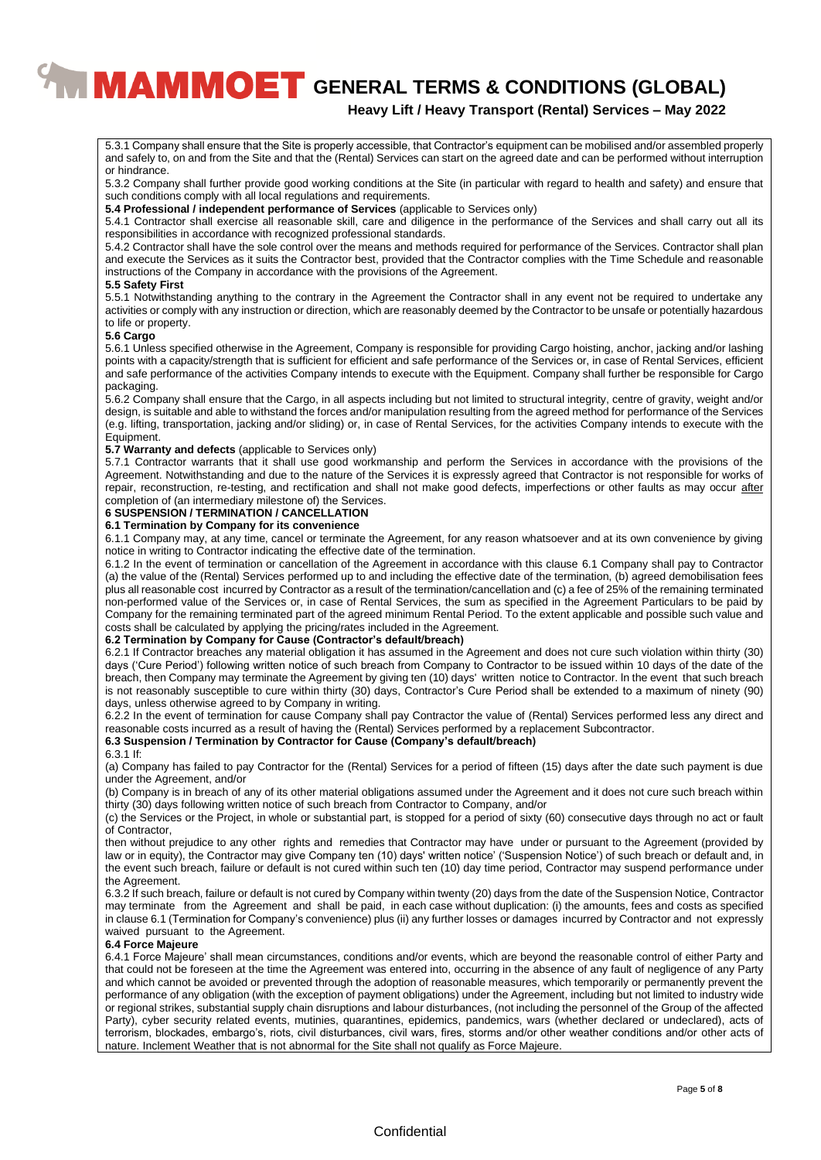# **Heavy Lift / Heavy Transport (Rental) Services – May 2022**

5.3.1 Company shall ensure that the Site is properly accessible, that Contractor's equipment can be mobilised and/or assembled properly and safely to, on and from the Site and that the (Rental) Services can start on the agreed date and can be performed without interruption or hindrance.

5.3.2 Company shall further provide good working conditions at the Site (in particular with regard to health and safety) and ensure that such conditions comply with all local regulations and requirements.

**5.4 Professional / independent performance of Services** (applicable to Services only)

5.4.1 Contractor shall exercise all reasonable skill, care and diligence in the performance of the Services and shall carry out all its responsibilities in accordance with recognized professional standards.

5.4.2 Contractor shall have the sole control over the means and methods required for performance of the Services. Contractor shall plan and execute the Services as it suits the Contractor best, provided that the Contractor complies with the Time Schedule and reasonable instructions of the Company in accordance with the provisions of the Agreement.

#### **5.5 Safety First**

5.5.1 Notwithstanding anything to the contrary in the Agreement the Contractor shall in any event not be required to undertake any activities or comply with any instruction or direction, which are reasonably deemed by the Contractor to be unsafe or potentially hazardous to life or property.

#### **5.6 Cargo**

5.6.1 Unless specified otherwise in the Agreement, Company is responsible for providing Cargo hoisting, anchor, jacking and/or lashing points with a capacity/strength that is sufficient for efficient and safe performance of the Services or, in case of Rental Services, efficient and safe performance of the activities Company intends to execute with the Equipment. Company shall further be responsible for Cargo packaging.

5.6.2 Company shall ensure that the Cargo, in all aspects including but not limited to structural integrity, centre of gravity, weight and/or design, is suitable and able to withstand the forces and/or manipulation resulting from the agreed method for performance of the Services (e.g. lifting, transportation, jacking and/or sliding) or, in case of Rental Services, for the activities Company intends to execute with the Equipment.

#### **5.7 Warranty and defects** (applicable to Services only)

5.7.1 Contractor warrants that it shall use good workmanship and perform the Services in accordance with the provisions of the Agreement. Notwithstanding and due to the nature of the Services it is expressly agreed that Contractor is not responsible for works of repair, reconstruction, re-testing, and rectification and shall not make good defects, imperfections or other faults as may occur after completion of (an intermediary milestone of) the Services.

#### **6 SUSPENSION / TERMINATION / CANCELLATION**

#### **6.1 Termination by Company for its convenience**

6.1.1 Company may, at any time, cancel or terminate the Agreement, for any reason whatsoever and at its own convenience by giving notice in writing to Contractor indicating the effective date of the termination.

6.1.2 In the event of termination or cancellation of the Agreement in accordance with this clause 6.1 Company shall pay to Contractor (a) the value of the (Rental) Services performed up to and including the effective date of the termination, (b) agreed demobilisation fees plus all reasonable cost incurred by Contractor as a result of the termination/cancellation and (c) a fee of 25% of the remaining terminated non-performed value of the Services or, in case of Rental Services, the sum as specified in the Agreement Particulars to be paid by Company for the remaining terminated part of the agreed minimum Rental Period. To the extent applicable and possible such value and costs shall be calculated by applying the pricing/rates included in the Agreement.

#### **6.2 Termination by Company for Cause (Contractor's default/breach)**

6.2.1 If Contractor breaches any material obligation it has assumed in the Agreement and does not cure such violation within thirty (30) days ('Cure Period') following written notice of such breach from Company to Contractor to be issued within 10 days of the date of the breach, then Company may terminate the Agreement by giving ten (10) days' written notice to Contractor. ln the event that such breach is not reasonably susceptible to cure within thirty (30) days, Contractor's Cure Period shall be extended to a maximum of ninety (90) days, unless otherwise agreed to by Company in writing.

6.2.2 In the event of termination for cause Company shall pay Contractor the value of (Rental) Services performed less any direct and reasonable costs incurred as a result of having the (Rental) Services performed by a replacement Subcontractor.

#### **6.3 Suspension / Termination by Contractor for Cause (Company's default/breach)**

#### 6.3.1 If:

(a) Company has failed to pay Contractor for the (Rental) Services for a period of fifteen (15) days after the date such payment is due under the Agreement, and/or

(b) Company is in breach of any of its other material obligations assumed under the Agreement and it does not cure such breach within thirty (30) days following written notice of such breach from Contractor to Company, and/or

(c) the Services or the Project, in whole or substantial part, is stopped for a period of sixty (60) consecutive days through no act or fault of Contractor,

then without prejudice to any other rights and remedies that Contractor may have under or pursuant to the Agreement (provided by law or in equity), the Contractor may give Company ten (10) days' written notice' ('Suspension Notice') of such breach or default and, in the event such breach, failure or default is not cured within such ten (10) day time period, Contractor may suspend performance under the Agreement.

6.3.2 If such breach, failure or default is not cured by Company within twenty (20) days from the date of the Suspension Notice, Contractor may terminate from the Agreement and shall be paid, in each case without duplication: (i) the amounts, fees and costs as specified in clause 6.1 (Termination for Company's convenience) plus (ii) any further losses or damages incurred by Contractor and not expressly waived pursuant to the Agreement.

#### **6.4 Force Majeure**

6.4.1 Force Majeure' shall mean circumstances, conditions and/or events, which are beyond the reasonable control of either Party and that could not be foreseen at the time the Agreement was entered into, occurring in the absence of any fault of negligence of any Party and which cannot be avoided or prevented through the adoption of reasonable measures, which temporarily or permanently prevent the performance of any obligation (with the exception of payment obligations) under the Agreement, including but not limited to industry wide or regional strikes, substantial supply chain disruptions and labour disturbances, (not including the personnel of the Group of the affected Party), cyber security related events, mutinies, quarantines, epidemics, pandemics, wars (whether declared or undeclared), acts of terrorism, blockades, embargo's, riots, civil disturbances, civil wars, fires, storms and/or other weather conditions and/or other acts of nature. Inclement Weather that is not abnormal for the Site shall not qualify as Force Majeure.

#### **Confidential**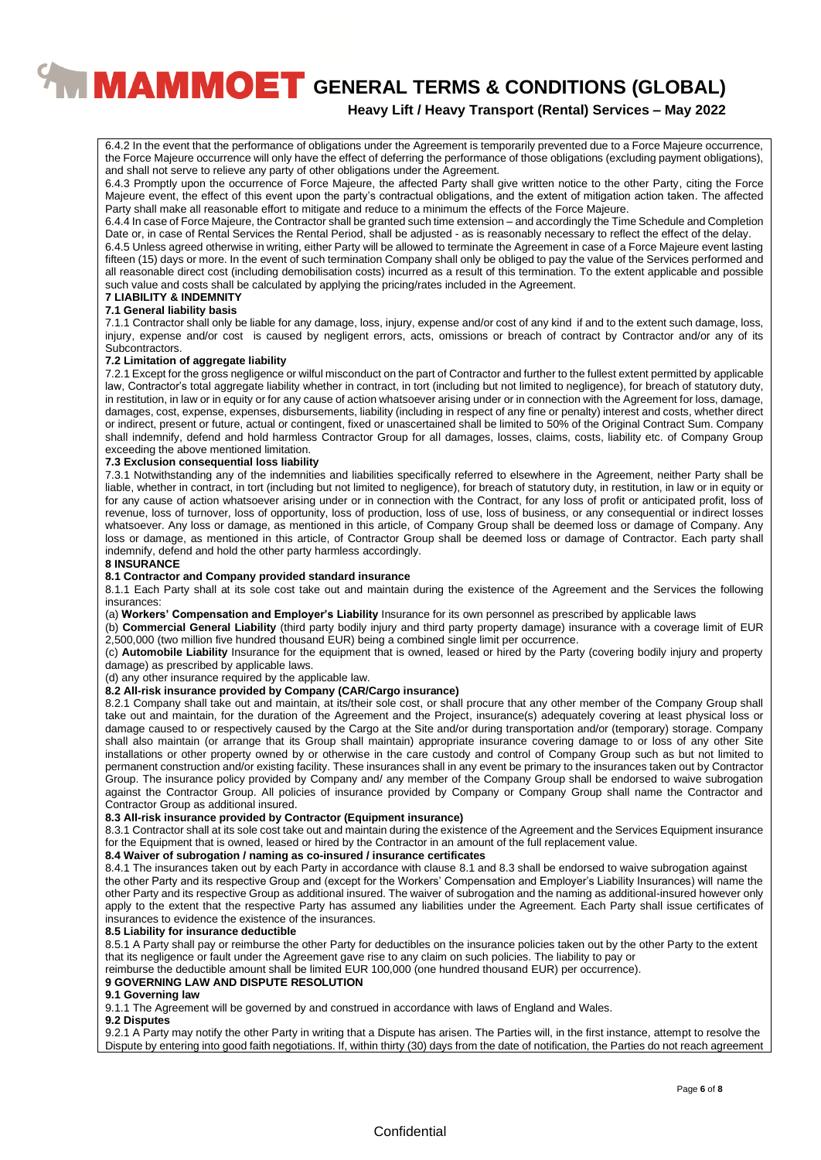# **Heavy Lift / Heavy Transport (Rental) Services – May 2022**

6.4.2 In the event that the performance of obligations under the Agreement is temporarily prevented due to a Force Majeure occurrence, the Force Majeure occurrence will only have the effect of deferring the performance of those obligations (excluding payment obligations), and shall not serve to relieve any party of other obligations under the Agreement.

6.4.3 Promptly upon the occurrence of Force Majeure, the affected Party shall give written notice to the other Party, citing the Force Majeure event, the effect of this event upon the party's contractual obligations, and the extent of mitigation action taken. The affected Party shall make all reasonable effort to mitigate and reduce to a minimum the effects of the Force Majeure.

6.4.4 In case of Force Majeure, the Contractor shall be granted such time extension – and accordingly the Time Schedule and Completion Date or, in case of Rental Services the Rental Period, shall be adjusted - as is reasonably necessary to reflect the effect of the delay.

6.4.5 Unless agreed otherwise in writing, either Party will be allowed to terminate the Agreement in case of a Force Majeure event lasting fifteen (15) days or more. In the event of such termination Company shall only be obliged to pay the value of the Services performed and all reasonable direct cost (including demobilisation costs) incurred as a result of this termination. To the extent applicable and possible such value and costs shall be calculated by applying the pricing/rates included in the Agreement.

#### **7 LIABILITY & INDEMNITY 7.1 General liability basis**

7.1.1 Contractor shall only be liable for any damage, loss, injury, expense and/or cost of any kind if and to the extent such damage, loss, injury, expense and/or cost is caused by negligent errors, acts, omissions or breach of contract by Contractor and/or any of its Subcontractors.

#### **7.2 Limitation of aggregate liability**

7.2.1 Except for the gross negligence or wilful misconduct on the part of Contractor and further to the fullest extent permitted by applicable law, Contractor's total aggregate liability whether in contract, in tort (including but not limited to negligence), for breach of statutory duty, in restitution, in law or in equity or for any cause of action whatsoever arising under or in connection with the Agreement for loss, damage, damages, cost, expense, expenses, disbursements, liability (including in respect of any fine or penalty) interest and costs, whether direct or indirect, present or future, actual or contingent, fixed or unascertained shall be limited to 50% of the Original Contract Sum. Company shall indemnify, defend and hold harmless Contractor Group for all damages, losses, claims, costs, liability etc. of Company Group exceeding the above mentioned limitation.

#### **7.3 Exclusion consequential loss liability**

7.3.1 Notwithstanding any of the indemnities and liabilities specifically referred to elsewhere in the Agreement, neither Party shall be liable, whether in contract, in tort (including but not limited to negligence), for breach of statutory duty, in restitution, in law or in equity or for any cause of action whatsoever arising under or in connection with the Contract, for any loss of profit or anticipated profit, loss of revenue, loss of turnover, loss of opportunity, loss of production, loss of use, loss of business, or any consequential or indirect losses whatsoever. Any loss or damage, as mentioned in this article, of Company Group shall be deemed loss or damage of Company. Any loss or damage, as mentioned in this article, of Contractor Group shall be deemed loss or damage of Contractor. Each party shall indemnify, defend and hold the other party harmless accordingly.

#### **8 INSURANCE**

#### **8.1 Contractor and Company provided standard insurance**

8.1.1 Each Party shall at its sole cost take out and maintain during the existence of the Agreement and the Services the following insurances:

(a) **Workers' Compensation and Employer's Liability** Insurance for its own personnel as prescribed by applicable laws

(b) **Commercial General Liability** (third party bodily injury and third party property damage) insurance with a coverage limit of EUR 2,500,000 (two million five hundred thousand EUR) being a combined single limit per occurrence.

(c) **Automobile Liability** Insurance for the equipment that is owned, leased or hired by the Party (covering bodily injury and property damage) as prescribed by applicable laws.

(d) any other insurance required by the applicable law.

#### **8.2 All-risk insurance provided by Company (CAR/Cargo insurance)**

8.2.1 Company shall take out and maintain, at its/their sole cost, or shall procure that any other member of the Company Group shall take out and maintain, for the duration of the Agreement and the Project, insurance(s) adequately covering at least physical loss or damage caused to or respectively caused by the Cargo at the Site and/or during transportation and/or (temporary) storage. Company shall also maintain (or arrange that its Group shall maintain) appropriate insurance covering damage to or loss of any other Site installations or other property owned by or otherwise in the care custody and control of Company Group such as but not limited to permanent construction and/or existing facility. These insurances shall in any event be primary to the insurances taken out by Contractor Group. The insurance policy provided by Company and/ any member of the Company Group shall be endorsed to waive subrogation against the Contractor Group. All policies of insurance provided by Company or Company Group shall name the Contractor and Contractor Group as additional insured.

# **8.3 All-risk insurance provided by Contractor (Equipment insurance)**

8.3.1 Contractor shall at its sole cost take out and maintain during the existence of the Agreement and the Services Equipment insurance for the Equipment that is owned, leased or hired by the Contractor in an amount of the full replacement value.

#### **8.4 Waiver of subrogation / naming as co-insured / insurance certificates**

8.4.1 The insurances taken out by each Party in accordance with clause 8.1 and 8.3 shall be endorsed to waive subrogation against the other Party and its respective Group and (except for the Workers' Compensation and Employer's Liability Insurances) will name the other Party and its respective Group as additional insured. The waiver of subrogation and the naming as additional-insured however only apply to the extent that the respective Party has assumed any liabilities under the Agreement. Each Party shall issue certificates of insurances to evidence the existence of the insurances.

#### **8.5 Liability for insurance deductible**

8.5.1 A Party shall pay or reimburse the other Party for deductibles on the insurance policies taken out by the other Party to the extent that its negligence or fault under the Agreement gave rise to any claim on such policies. The liability to pay or

reimburse the deductible amount shall be limited EUR 100,000 (one hundred thousand EUR) per occurrence).

#### **9 GOVERNING LAW AND DISPUTE RESOLUTION**

#### **9.1 Governing law**

9.1.1 The Agreement will be governed by and construed in accordance with laws of England and Wales.

#### **9.2 Disputes**

9.2.1 A Party may notify the other Party in writing that a Dispute has arisen. The Parties will, in the first instance, attempt to resolve the Dispute by entering into good faith negotiations. If, within thirty (30) days from the date of notification, the Parties do not reach agreement

#### **Confidential**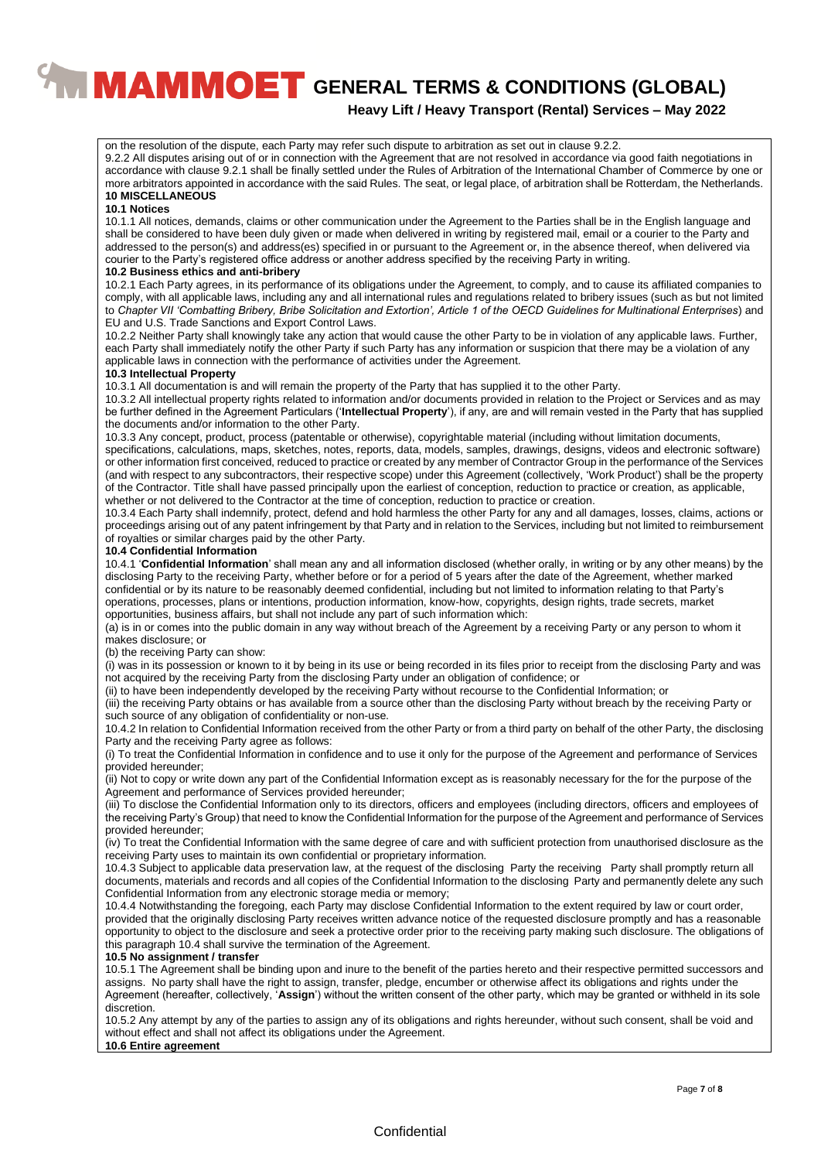**Heavy Lift / Heavy Transport (Rental) Services – May 2022**

on the resolution of the dispute, each Party may refer such dispute to arbitration as set out in clause 9.2.2.

9.2.2 All disputes arising out of or in connection with the Agreement that are not resolved in accordance via good faith negotiations in accordance with clause 9.2.1 shall be finally settled under the Rules of Arbitration of the International Chamber of Commerce by one or more arbitrators appointed in accordance with the said Rules. The seat, or legal place, of arbitration shall be Rotterdam, the Netherlands. **10 MISCELLANEOUS**

#### **10.1 Notices**

10.1.1 All notices, demands, claims or other communication under the Agreement to the Parties shall be in the English language and shall be considered to have been duly given or made when delivered in writing by registered mail, email or a courier to the Party and addressed to the person(s) and address(es) specified in or pursuant to the Agreement or, in the absence thereof, when delivered via courier to the Party's registered office address or another address specified by the receiving Party in writing.

#### **10.2 Business ethics and anti-bribery**

10.2.1 Each Party agrees, in its performance of its obligations under the Agreement, to comply, and to cause its affiliated companies to comply, with all applicable laws, including any and all international rules and regulations related to bribery issues (such as but not limited to *Chapter VII 'Combatting Bribery, Bribe Solicitation and Extortion', Article 1 of the OECD Guidelines for Multinational Enterprises*) and EU and U.S. Trade Sanctions and Export Control Laws.

10.2.2 Neither Party shall knowingly take any action that would cause the other Party to be in violation of any applicable laws. Further, each Party shall immediately notify the other Party if such Party has any information or suspicion that there may be a violation of any applicable laws in connection with the performance of activities under the Agreement.

#### **10.3 Intellectual Property**

10.3.1 All documentation is and will remain the property of the Party that has supplied it to the other Party.

10.3.2 All intellectual property rights related to information and/or documents provided in relation to the Project or Services and as may be further defined in the Agreement Particulars ('**Intellectual Property**'), if any, are and will remain vested in the Party that has supplied the documents and/or information to the other Party.

10.3.3 Any concept, product, process (patentable or otherwise), copyrightable material (including without limitation documents, specifications, calculations, maps, sketches, notes, reports, data, models, samples, drawings, designs, videos and electronic software) or other information first conceived, reduced to practice or created by any member of Contractor Group in the performance of the Services (and with respect to any subcontractors, their respective scope) under this Agreement (collectively, 'Work Product') shall be the property of the Contractor. Title shall have passed principally upon the earliest of conception, reduction to practice or creation, as applicable, whether or not delivered to the Contractor at the time of conception, reduction to practice or creation.

10.3.4 Each Party shall indemnify, protect, defend and hold harmless the other Party for any and all damages, losses, claims, actions or proceedings arising out of any patent infringement by that Party and in relation to the Services, including but not limited to reimbursement of royalties or similar charges paid by the other Party.

#### **10.4 Confidential Information**

10.4.1 '**Confidential Information**' shall mean any and all information disclosed (whether orally, in writing or by any other means) by the disclosing Party to the receiving Party, whether before or for a period of 5 years after the date of the Agreement, whether marked confidential or by its nature to be reasonably deemed confidential, including but not limited to information relating to that Party's operations, processes, plans or intentions, production information, know-how, copyrights, design rights, trade secrets, market opportunities, business affairs, but shall not include any part of such information which:

(a) is in or comes into the public domain in any way without breach of the Agreement by a receiving Party or any person to whom it makes disclosure; or

(b) the receiving Party can show:

(i) was in its possession or known to it by being in its use or being recorded in its files prior to receipt from the disclosing Party and was not acquired by the receiving Party from the disclosing Party under an obligation of confidence; or

(ii) to have been independently developed by the receiving Party without recourse to the Confidential Information; or

(iii) the receiving Party obtains or has available from a source other than the disclosing Party without breach by the receiving Party or such source of any obligation of confidentiality or non-use.

10.4.2 In relation to Confidential Information received from the other Party or from a third party on behalf of the other Party, the disclosing Party and the receiving Party agree as follows:

(i) To treat the Confidential Information in confidence and to use it only for the purpose of the Agreement and performance of Services provided hereunder;

(ii) Not to copy or write down any part of the Confidential Information except as is reasonably necessary for the for the purpose of the Agreement and performance of Services provided hereunder;

(iii) To disclose the Confidential Information only to its directors, officers and employees (including directors, officers and employees of the receiving Party's Group) that need to know the Confidential Information for the purpose of the Agreement and performance of Services provided hereunder;

(iv) To treat the Confidential Information with the same degree of care and with sufficient protection from unauthorised disclosure as the receiving Party uses to maintain its own confidential or proprietary information.

10.4.3 Subject to applicable data preservation law, at the request of the disclosing Party the receiving Party shall promptly return all documents, materials and records and all copies of the Confidential Information to the disclosing Party and permanently delete any such Confidential Information from any electronic storage media or memory;

10.4.4 Notwithstanding the foregoing, each Party may disclose Confidential Information to the extent required by law or court order, provided that the originally disclosing Party receives written advance notice of the requested disclosure promptly and has a reasonable opportunity to object to the disclosure and seek a protective order prior to the receiving party making such disclosure. The obligations of this paragraph 10.4 shall survive the termination of the Agreement.

#### **10.5 No assignment / transfer**

10.5.1 The Agreement shall be binding upon and inure to the benefit of the parties hereto and their respective permitted successors and assigns. No party shall have the right to assign, transfer, pledge, encumber or otherwise affect its obligations and rights under the Agreement (hereafter, collectively, '**Assign**') without the written consent of the other party, which may be granted or withheld in its sole discretion.

10.5.2 Any attempt by any of the parties to assign any of its obligations and rights hereunder, without such consent, shall be void and without effect and shall not affect its obligations under the Agreement.

### **10.6 Entire agreement**